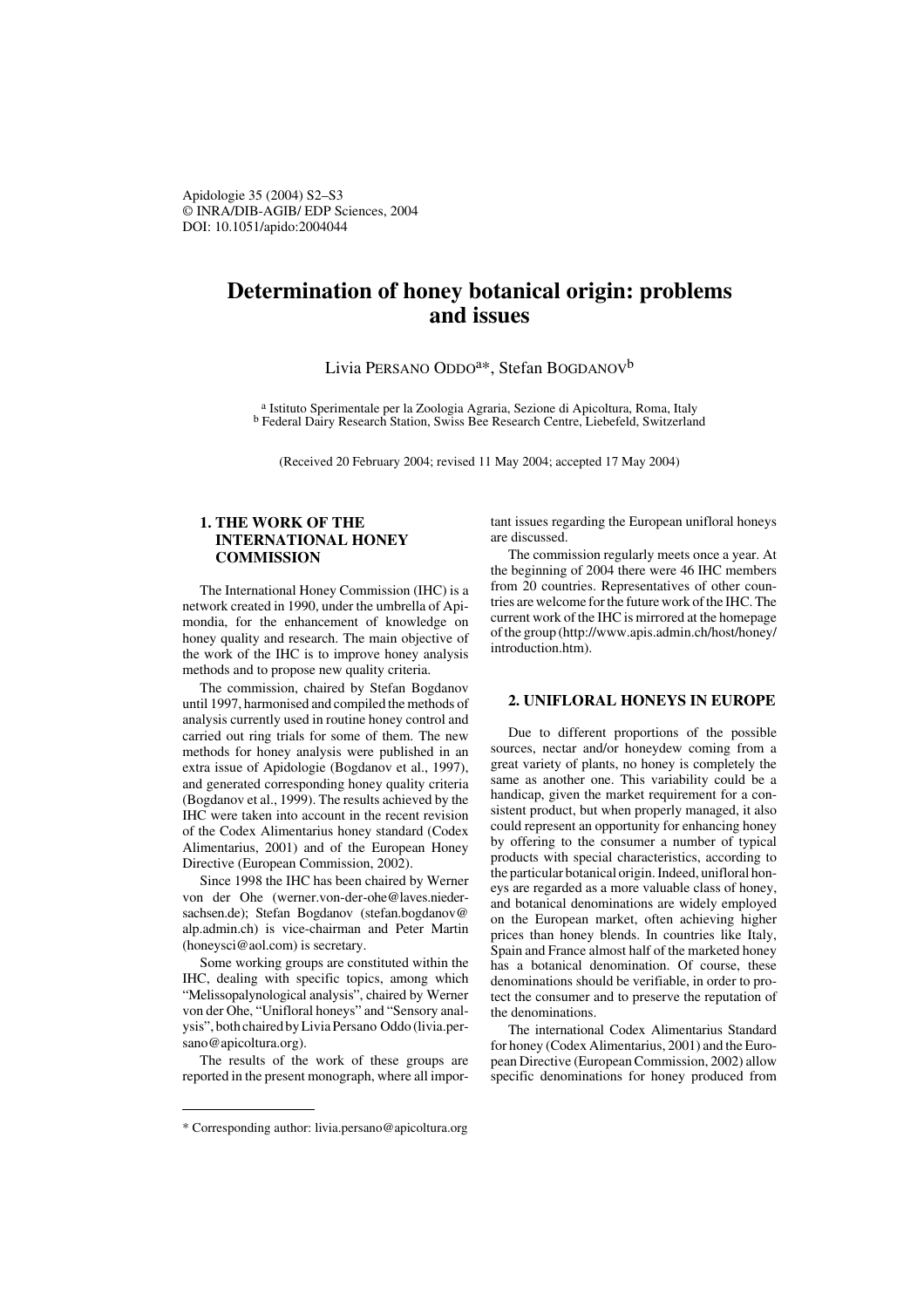Apidologie 35 (2004) S2–S3 © INRA/DIB-AGIB/ EDP Sciences, 2004 DOI: 10.1051/apido:2004044

# **Determination of honey botanical origin: problems and issues**

Livia PERSANO ODDO<sup>a\*</sup>, Stefan BOGDANOV<sup>b</sup>

a Istituto Sperimentale per la Zoologia Agraria, Sezione di Apicoltura, Roma, Italy b Federal Dairy Research Station, Swiss Bee Research Centre, Liebefeld, Switzerland

(Received 20 February 2004; revised 11 May 2004; accepted 17 May 2004)

## **1. THE WORK OF THE INTERNATIONAL HONEY COMMISSION**

The International Honey Commission (IHC) is a network created in 1990, under the umbrella of Apimondia, for the enhancement of knowledge on honey quality and research. The main objective of the work of the IHC is to improve honey analysis methods and to propose new quality criteria.

The commission, chaired by Stefan Bogdanov until 1997, harmonised and compiled the methods of analysis currently used in routine honey control and carried out ring trials for some of them. The new methods for honey analysis were published in an extra issue of Apidologie (Bogdanov et al., 1997), and generated corresponding honey quality criteria (Bogdanov et al., 1999). The results achieved by the IHC were taken into account in the recent revision of the Codex Alimentarius honey standard (Codex Alimentarius, 2001) and of the European Honey Directive (European Commission, 2002).

Since 1998 the IHC has been chaired by Werner von der Ohe (werner.von-der-ohe@laves.niedersachsen.de); Stefan Bogdanov (stefan.bogdanov@ alp.admin.ch) is vice-chairman and Peter Martin (honeysci@aol.com) is secretary.

Some working groups are constituted within the IHC, dealing with specific topics, among which "Melissopalynological analysis", chaired by Werner von der Ohe, "Unifloral honeys" and "Sensory analysis", both chaired by Livia Persano Oddo (livia.persano@apicoltura.org).

The results of the work of these groups are reported in the present monograph, where all important issues regarding the European unifloral honeys are discussed.

The commission regularly meets once a year. At the beginning of 2004 there were 46 IHC members from 20 countries. Representatives of other countries are welcome for the future work of the IHC. The current work of the IHC is mirrored at the homepage of the group (http://www.apis.admin.ch/host/honey/ introduction.htm).

#### **2. UNIFLORAL HONEYS IN EUROPE**

Due to different proportions of the possible sources, nectar and/or honeydew coming from a great variety of plants, no honey is completely the same as another one. This variability could be a handicap, given the market requirement for a consistent product, but when properly managed, it also could represent an opportunity for enhancing honey by offering to the consumer a number of typical products with special characteristics, according to the particular botanical origin. Indeed, unifloral honeys are regarded as a more valuable class of honey, and botanical denominations are widely employed on the European market, often achieving higher prices than honey blends. In countries like Italy, Spain and France almost half of the marketed honey has a botanical denomination. Of course, these denominations should be verifiable, in order to protect the consumer and to preserve the reputation of the denominations.

The international Codex Alimentarius Standard for honey (Codex Alimentarius, 2001) and the European Directive (European Commission, 2002) allow specific denominations for honey produced from

<sup>\*</sup> Corresponding author: livia.persano@apicoltura.org